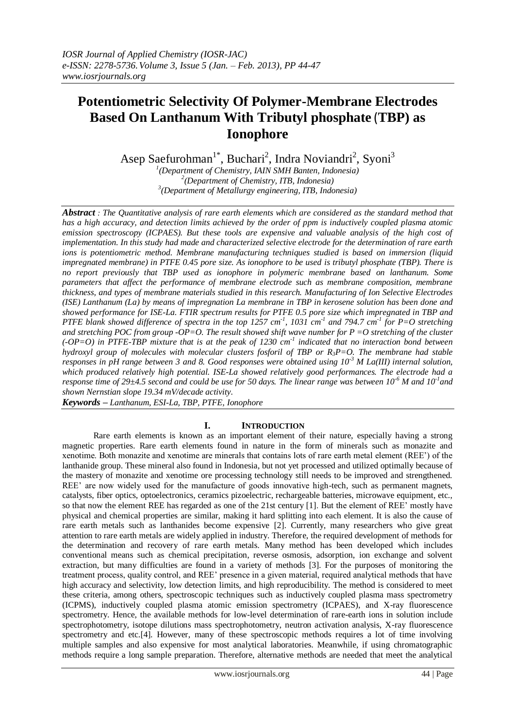# **Potentiometric Selectivity Of Polymer-Membrane Electrodes Based On Lanthanum With Tributyl phosphate** (**TBP) as Ionophore**

Asep Saefurohman<sup>1\*</sup>, Buchari<sup>2</sup>, Indra Noviandri<sup>2</sup>, Syoni<sup>3</sup>

*1 (Department of Chemistry, IAIN SMH Banten, Indonesia) 2 (Department of Chemistry, ITB, Indonesia) 3 (Department of Metallurgy engineering, ITB, Indonesia)*

*Abstract : The Quantitative analysis of rare earth elements which are considered as the standard method that has a high accuracy, and detection limits achieved by the order of ppm is inductively coupled plasma atomic emission spectroscopy (ICPAES). But these tools are expensive and valuable analysis of the high cost of implementation. In this study had made and characterized selective electrode for the determination of rare earth ions is potentiometric method. Membrane manufacturing techniques studied is based on immersion (liquid impregnated membrane) in PTFE 0.45 pore size. As ionophore to be used is tributyl phosphate (TBP). There is no report previously that TBP used as ionophore in polymeric membrane based on lanthanum. Some parameters that affect the performance of membrane electrode such as membrane composition, membrane thickness, and types of membrane materials studied in this research. Manufacturing of Ion Selective Electrodes (ISE) Lanthanum (La) by means of impregnation La membrane in TBP in kerosene solution has been done and showed performance for ISE-La. FTIR spectrum results for PTFE 0.5 pore size which impregnated in TBP and PTFE* blank showed difference of spectra in the top 1257 cm<sup>-1</sup>, 1031 cm<sup>-1</sup> and 794.7 cm<sup>-1</sup> for P=O stretching *and stretching POC from group -OP=O. The result showed shift wave number for P =O stretching of the cluster (-OP=O) in PTFE-TBP mixture that is at the peak of 1230 cm-1 indicated that no interaction bond between hydroxyl group of molecules with molecular clusters fosforil of TBP or R3P=O. The membrane had stable responses in pH range between 3 and 8. Good responses were obtained using 10-3 M La(III) internal solution, which produced relatively high potential. ISE-La showed relatively good performances. The electrode had a response time of 29±4.5 second and could be use for 50 days. The linear range was between 10<sup>-6</sup> M and 10<sup>-1</sup> and shown Nernstian slope 19.34 mV/decade activity.*

*Keywords – Lanthanum, ESI-La, TBP, PTFE, Ionophore*

# **I. INTRODUCTION**

Rare earth elements is known as an important element of their nature, especially having a strong magnetic properties. Rare earth elements found in nature in the form of minerals such as monazite and xenotime. Both monazite and xenotime are minerals that contains lots of rare earth metal element (REE') of the lanthanide group. These mineral also found in Indonesia, but not yet processed and utilized optimally because of the mastery of monazite and xenotime ore processing technology still needs to be improved and strengthened. REE' are now widely used for the manufacture of goods innovative high-tech, such as permanent magnets, catalysts, fiber optics, optoelectronics, ceramics pizoelectric, rechargeable batteries, microwave equipment, etc., so that now the element REE has regarded as one of the 21st century [1]. But the element of REE' mostly have physical and chemical properties are similar, making it hard splitting into each element. It is also the cause of rare earth metals such as lanthanides become expensive [2]. Currently, many researchers who give great attention to rare earth metals are widely applied in industry. Therefore, the required development of methods for the determination and recovery of rare earth metals. Many method has been developed which includes conventional means such as chemical precipitation, reverse osmosis, adsorption, ion exchange and solvent extraction, but many difficulties are found in a variety of methods [3]. For the purposes of monitoring the treatment process, quality control, and REE' presence in a given material, required analytical methods that have high accuracy and selectivity, low detection limits, and high reproducibility. The method is considered to meet these criteria, among others, spectroscopic techniques such as inductively coupled plasma mass spectrometry (ICPMS), inductively coupled plasma atomic emission spectrometry (ICPAES), and X-ray fluorescence spectrometry. Hence, the available methods for low-level determination of rare-earth ions in solution include spectrophotometry, isotope dilutions mass spectrophotometry, neutron activation analysis, X-ray fluorescence spectrometry and etc.[4]. However, many of these spectroscopic methods requires a lot of time involving multiple samples and also expensive for most analytical laboratories. Meanwhile, if using chromatographic methods require a long sample preparation. Therefore, alternative methods are needed that meet the analytical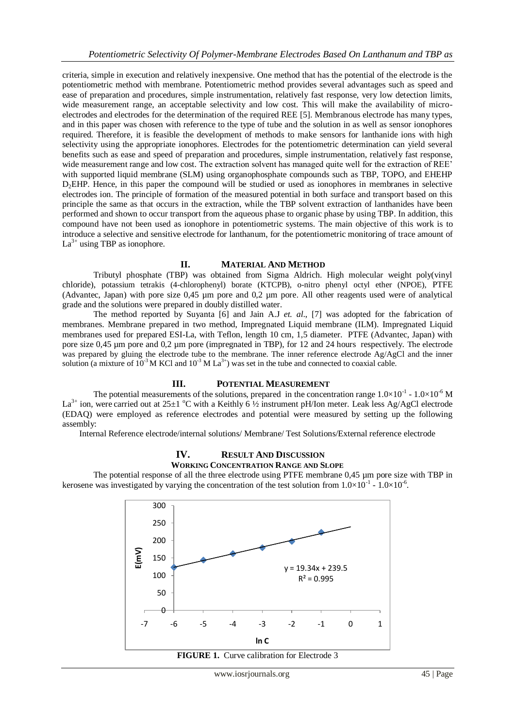criteria, simple in execution and relatively inexpensive. One method that has the potential of the electrode is the potentiometric method with membrane. Potentiometric method provides several advantages such as speed and ease of preparation and procedures, simple instrumentation, relatively fast response, very low detection limits, wide measurement range, an acceptable selectivity and low cost. This will make the availability of microelectrodes and electrodes for the determination of the required REE [5]. Membranous electrode has many types, and in this paper was chosen with reference to the type of tube and the solution in as well as sensor ionophores required. Therefore, it is feasible the development of methods to make sensors for lanthanide ions with high selectivity using the appropriate ionophores. Electrodes for the potentiometric determination can yield several benefits such as ease and speed of preparation and procedures, simple instrumentation, relatively fast response, wide measurement range and low cost. The extraction solvent has managed quite well for the extraction of REE' with supported liquid membrane (SLM) using organophosphate compounds such as TBP, TOPO, and EHEHP D<sub>2</sub>EHP. Hence, in this paper the compound will be studied or used as ionophores in membranes in selective electrodes ion. The principle of formation of the measured potential in both surface and transport based on this principle the same as that occurs in the extraction, while the TBP solvent extraction of lanthanides have been performed and shown to occur transport from the aqueous phase to organic phase by using TBP. In addition, this compound have not been used as ionophore in potentiometric systems. The main objective of this work is to introduce a selective and sensitive electrode for lanthanum, for the potentiometric monitoring of trace amount of  $La^{3+}$  using TBP as ionophore.

# **II. MATERIAL AND METHOD**

Tributyl phosphate (TBP) was obtained from Sigma Aldrich. High molecular weight poly(vinyl chloride), potassium tetrakis (4-chlorophenyl) borate (KTCPB), o-nitro phenyl octyl ether (NPOE), PTFE (Advantec, Japan) with pore size 0,45 µm pore and 0,2 µm pore. All other reagents used were of analytical grade and the solutions were prepared in doubly distilled water.

The method reported by Suyanta [6] and Jain A.J *et. al*., [7] was adopted for the fabrication of membranes. Membrane prepared in two method, Impregnated Liquid membrane (ILM). Impregnated Liquid membranes used for prepared ESI-La, with Teflon, length 10 cm, 1,5 diameter. PTFE (Advantec, Japan) with pore size 0,45 µm pore and 0,2 µm pore (impregnated in TBP), for 12 and 24 hours respectively. The electrode was prepared by gluing the electrode tube to the membrane. The inner reference electrode Ag/AgCl and the inner solution (a mixture of  $10^{-3}$  M KCl and  $10^{-3}$  M La<sup>3+</sup>) was set in the tube and connected to coaxial cable.

# **III. POTENTIAL MEASUREMENT**

The potential measurements of the solutions, prepared in the concentration range  $1.0 \times 10^{-1}$  -  $1.0 \times 10^{-6}$  M La<sup>3+</sup> ion, were carried out at 25 $\pm$ 1 °C with a Keithly 6  $\frac{1}{2}$  instrument pH/Ion meter. Leak less Ag/AgCl electrode (EDAQ) were employed as reference electrodes and potential were measured by setting up the following assembly:

Internal Reference electrode/internal solutions/ Membrane/ Test Solutions/External reference electrode

#### **IV. RESULT AND DISCUSSION WORKING CONCENTRATION RANGE AND SLOPE**

The potential response of all the three electrode using PTFE membrane 0,45 µm pore size with TBP in kerosene was investigated by varying the concentration of the test solution from  $1.0 \times 10^{-1}$  -  $1.0 \times 10^{-6}$ .



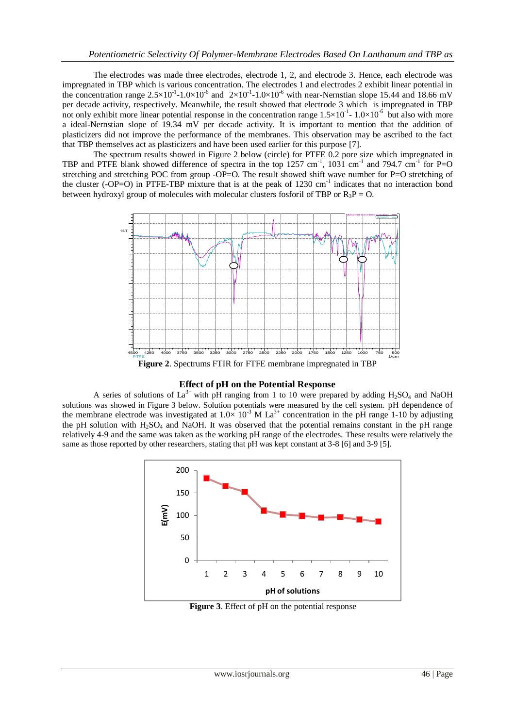The electrodes was made three electrodes, electrode 1, 2, and electrode 3. Hence, each electrode was impregnated in TBP which is various concentration. The electrodes 1 and electrodes 2 exhibit linear potential in the concentration range  $2.5 \times 10^{-1}$ -1.0 $\times 10^{-6}$  and  $2 \times 10^{-1}$ -1.0 $\times 10^{-6}$  with near-Nernstian slope 15.44 and 18.66 mV per decade activity, respectively. Meanwhile, the result showed that electrode 3 which is impregnated in TBP not only exhibit more linear potential response in the concentration range  $1.5 \times 10^{-1}$ -  $1.0 \times 10^{-6}$  but also with more a ideal-Nernstian slope of 19.34 mV per decade activity. It is important to mention that the addition of plasticizers did not improve the performance of the membranes. This observation may be ascribed to the fact that TBP themselves act as plasticizers and have been used earlier for this purpose [7].

The spectrum results showed in Figure 2 below (circle) for PTFE 0.2 pore size which impregnated in TBP and PTFE blank showed difference of spectra in the top  $1257 \text{ cm}^{-1}$ ,  $1031 \text{ cm}^{-1}$  and  $794.7 \text{ cm}^{-1}$  for P=O stretching and stretching POC from group -OP=O. The result showed shift wave number for P=O stretching of the cluster (-OP=O) in PTFE-TBP mixture that is at the peak of 1230 cm<sup>-1</sup> indicates that no interaction bond between hydroxyl group of molecules with molecular clusters fosforil of TBP or  $R_3P = Q$ .



# **Effect of pH on the Potential Response**

A series of solutions of La<sup>3+</sup> with pH ranging from 1 to 10 were prepared by adding H<sub>2</sub>SO<sub>4</sub> and NaOH solutions was showed in Figure 3 below. Solution potentials were measured by the cell system. pH dependence of the membrane electrode was investigated at  $1.0\times 10^{-3}$  M La<sup>3+</sup> concentration in the pH range 1-10 by adjusting the pH solution with  $H_2SO_4$  and NaOH. It was observed that the potential remains constant in the pH range relatively 4-9 and the same was taken as the working pH range of the electrodes. These results were relatively the same as those reported by other researchers, stating that pH was kept constant at 3-8 [6] and 3-9 [5].



**Figure 3**. Effect of pH on the potential response